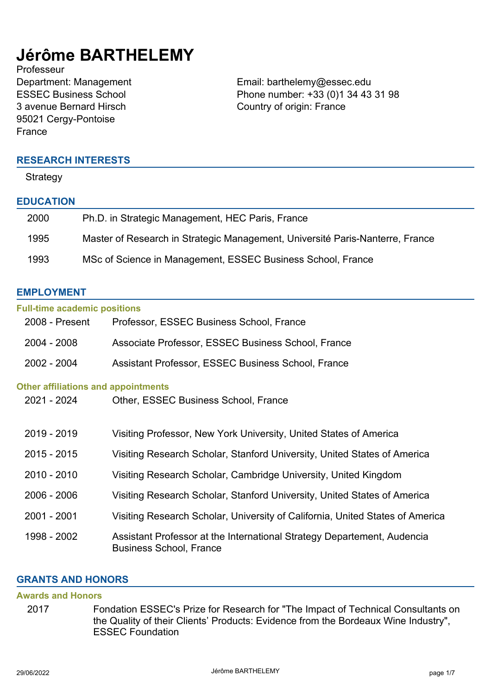# **Jérôme BARTHELEMY**

Professeur ESSEC Business School 3 avenue Bernard Hirsch 95021 Cergy-Pontoise France

Department: Management **Email: barthelemy@essec.edu** Phone number: +33 (0)1 34 43 31 98 Country of origin: France

#### **RESEARCH INTERESTS**

**Strategy** 

#### **EDUCATION**

| 2000 | Ph.D. in Strategic Management, HEC Paris, France                              |
|------|-------------------------------------------------------------------------------|
| 1995 | Master of Research in Strategic Management, Université Paris-Nanterre, France |
| 1993 | MSc of Science in Management, ESSEC Business School, France                   |

### **EMPLOYMENT**

| <b>Full-time academic positions</b>        |                                                                                                           |
|--------------------------------------------|-----------------------------------------------------------------------------------------------------------|
| 2008 - Present                             | Professor, ESSEC Business School, France                                                                  |
| $2004 - 2008$                              | Associate Professor, ESSEC Business School, France                                                        |
| 2002 - 2004                                | Assistant Professor, ESSEC Business School, France                                                        |
| <b>Other affiliations and appointments</b> |                                                                                                           |
| 2021 - 2024                                | Other, ESSEC Business School, France                                                                      |
|                                            |                                                                                                           |
| 2019 - 2019                                | Visiting Professor, New York University, United States of America                                         |
| $2015 - 2015$                              | Visiting Research Scholar, Stanford University, United States of America                                  |
| 2010 - 2010                                | Visiting Research Scholar, Cambridge University, United Kingdom                                           |
| $2006 - 2006$                              | Visiting Research Scholar, Stanford University, United States of America                                  |
| 2001 - 2001                                | Visiting Research Scholar, University of California, United States of America                             |
| 1998 - 2002                                | Assistant Professor at the International Strategy Departement, Audencia<br><b>Business School, France</b> |

#### **GRANTS AND HONORS**

#### **Awards and Honors**

2017 Fondation ESSEC's Prize for Research for "The Impact of Technical Consultants on the Quality of their Clients' Products: Evidence from the Bordeaux Wine Industry", ESSEC Foundation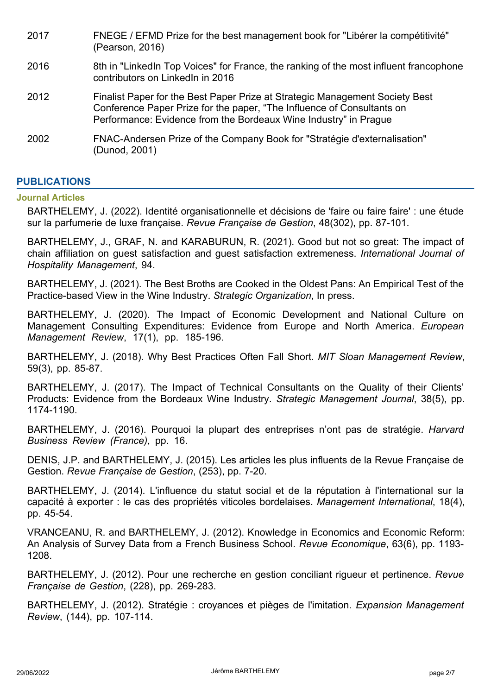| 2017 | FNEGE / EFMD Prize for the best management book for "Libérer la compétitivité"<br>(Pearson, 2016)                                                                                                                          |
|------|----------------------------------------------------------------------------------------------------------------------------------------------------------------------------------------------------------------------------|
| 2016 | 8th in "LinkedIn Top Voices" for France, the ranking of the most influent francophone<br>contributors on LinkedIn in 2016                                                                                                  |
| 2012 | Finalist Paper for the Best Paper Prize at Strategic Management Society Best<br>Conference Paper Prize for the paper, "The Influence of Consultants on<br>Performance: Evidence from the Bordeaux Wine Industry" in Prague |
| 2002 | FNAC-Andersen Prize of the Company Book for "Stratégie d'externalisation"<br>(Dunod, 2001)                                                                                                                                 |

# **PUBLICATIONS**

#### **Journal Articles**

BARTHELEMY, J. (2022). Identité organisationnelle et décisions de 'faire ou faire faire' : une étude sur la parfumerie de luxe française. *Revue Française de Gestion*, 48(302), pp. 87-101.

BARTHELEMY, J., GRAF, N. and KARABURUN, R. (2021). Good but not so great: The impact of chain affiliation on guest satisfaction and guest satisfaction extremeness. *International Journal of Hospitality Management*, 94.

BARTHELEMY, J. (2021). The Best Broths are Cooked in the Oldest Pans: An Empirical Test of the Practice-based View in the Wine Industry. *Strategic Organization*, In press.

BARTHELEMY, J. (2020). The Impact of Economic Development and National Culture on Management Consulting Expenditures: Evidence from Europe and North America. *European Management Review*, 17(1), pp. 185-196.

BARTHELEMY, J. (2018). Why Best Practices Often Fall Short. *MIT Sloan Management Review*, 59(3), pp. 85-87.

BARTHELEMY, J. (2017). The Impact of Technical Consultants on the Quality of their Clients' Products: Evidence from the Bordeaux Wine Industry. *Strategic Management Journal*, 38(5), pp. 1174-1190.

BARTHELEMY, J. (2016). Pourquoi la plupart des entreprises n'ont pas de stratégie. *Harvard Business Review (France)*, pp. 16.

DENIS, J.P. and BARTHELEMY, J. (2015). Les articles les plus influents de la Revue Française de Gestion. *Revue Française de Gestion*, (253), pp. 7-20.

BARTHELEMY, J. (2014). L'influence du statut social et de la réputation à l'international sur la capacité à exporter : le cas des propriétés viticoles bordelaises. *Management International*, 18(4), pp. 45-54.

VRANCEANU, R. and BARTHELEMY, J. (2012). Knowledge in Economics and Economic Reform: An Analysis of Survey Data from a French Business School. *Revue Economique*, 63(6), pp. 1193- 1208.

BARTHELEMY, J. (2012). Pour une recherche en gestion conciliant rigueur et pertinence. *Revue Française de Gestion*, (228), pp. 269-283.

BARTHELEMY, J. (2012). Stratégie : croyances et pièges de l'imitation. *Expansion Management Review*, (144), pp. 107-114.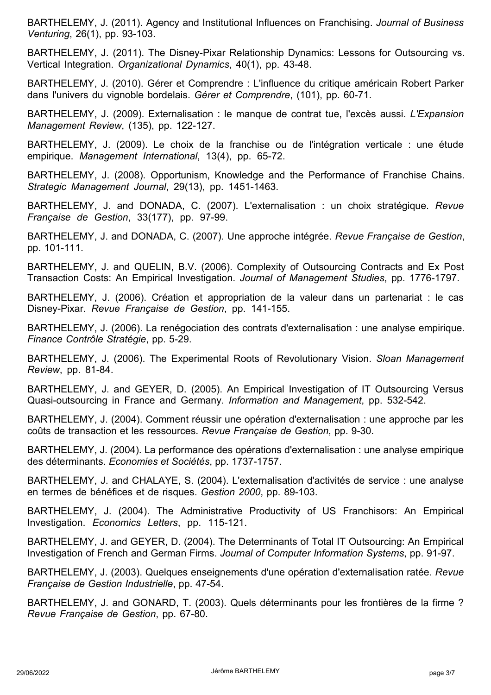BARTHELEMY, J. (2011). Agency and Institutional Influences on Franchising. *Journal of Business Venturing*, 26(1), pp. 93-103.

BARTHELEMY, J. (2011). The Disney-Pixar Relationship Dynamics: Lessons for Outsourcing vs. Vertical Integration. *Organizational Dynamics*, 40(1), pp. 43-48.

BARTHELEMY, J. (2010). Gérer et Comprendre : L'influence du critique américain Robert Parker dans l'univers du vignoble bordelais. *Gérer et Comprendre*, (101), pp. 60-71.

BARTHELEMY, J. (2009). Externalisation : le manque de contrat tue, l'excès aussi. *L'Expansion Management Review*, (135), pp. 122-127.

BARTHELEMY, J. (2009). Le choix de la franchise ou de l'intégration verticale : une étude empirique. *Management International*, 13(4), pp. 65-72.

BARTHELEMY, J. (2008). Opportunism, Knowledge and the Performance of Franchise Chains. *Strategic Management Journal*, 29(13), pp. 1451-1463.

BARTHELEMY, J. and DONADA, C. (2007). L'externalisation : un choix stratégique. *Revue Française de Gestion*, 33(177), pp. 97-99.

BARTHELEMY, J. and DONADA, C. (2007). Une approche intégrée. *Revue Française de Gestion*, pp. 101-111.

BARTHELEMY, J. and QUELIN, B.V. (2006). Complexity of Outsourcing Contracts and Ex Post Transaction Costs: An Empirical Investigation. *Journal of Management Studies*, pp. 1776-1797.

BARTHELEMY, J. (2006). Création et appropriation de la valeur dans un partenariat : le cas Disney-Pixar. *Revue Française de Gestion*, pp. 141-155.

BARTHELEMY, J. (2006). La renégociation des contrats d'externalisation : une analyse empirique. *Finance Contrôle Stratégie*, pp. 5-29.

BARTHELEMY, J. (2006). The Experimental Roots of Revolutionary Vision. *Sloan Management Review*, pp. 81-84.

BARTHELEMY, J. and GEYER, D. (2005). An Empirical Investigation of IT Outsourcing Versus Quasi-outsourcing in France and Germany. *Information and Management*, pp. 532-542.

BARTHELEMY, J. (2004). Comment réussir une opération d'externalisation : une approche par les coûts de transaction et les ressources. *Revue Française de Gestion*, pp. 9-30.

BARTHELEMY, J. (2004). La performance des opérations d'externalisation : une analyse empirique des déterminants. *Economies et Sociétés*, pp. 1737-1757.

BARTHELEMY, J. and CHALAYE, S. (2004). L'externalisation d'activités de service : une analyse en termes de bénéfices et de risques. *Gestion 2000*, pp. 89-103.

BARTHELEMY, J. (2004). The Administrative Productivity of US Franchisors: An Empirical Investigation. *Economics Letters*, pp. 115-121.

BARTHELEMY, J. and GEYER, D. (2004). The Determinants of Total IT Outsourcing: An Empirical Investigation of French and German Firms. *Journal of Computer Information Systems*, pp. 91-97.

BARTHELEMY, J. (2003). Quelques enseignements d'une opération d'externalisation ratée. *Revue Française de Gestion Industrielle*, pp. 47-54.

BARTHELEMY, J. and GONARD, T. (2003). Quels déterminants pour les frontières de la firme ? *Revue Française de Gestion*, pp. 67-80.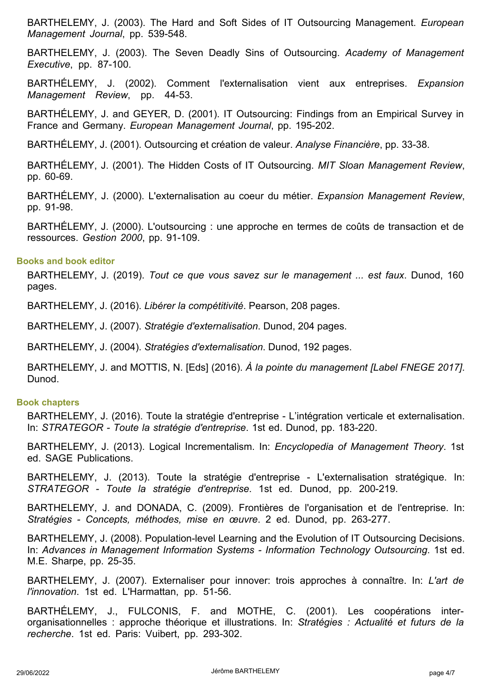BARTHELEMY, J. (2003). The Hard and Soft Sides of IT Outsourcing Management. *European Management Journal*, pp. 539-548.

BARTHELEMY, J. (2003). The Seven Deadly Sins of Outsourcing. *Academy of Management Executive*, pp. 87-100.

BARTHÉLEMY, J. (2002). Comment l'externalisation vient aux entreprises. *Expansion Management Review*, pp. 44-53.

BARTHÉLEMY, J. and GEYER, D. (2001). IT Outsourcing: Findings from an Empirical Survey in France and Germany. *European Management Journal*, pp. 195-202.

BARTHÉLEMY, J. (2001). Outsourcing et création de valeur. *Analyse Financière*, pp. 33-38.

BARTHÉLEMY, J. (2001). The Hidden Costs of IT Outsourcing. *MIT Sloan Management Review*, pp. 60-69.

BARTHÉLEMY, J. (2000). L'externalisation au coeur du métier. *Expansion Management Review*, pp. 91-98.

BARTHÉLEMY, J. (2000). L'outsourcing : une approche en termes de coûts de transaction et de ressources. *Gestion 2000*, pp. 91-109.

#### **Books and book editor**

BARTHELEMY, J. (2019). *Tout ce que vous savez sur le management ... est faux*. Dunod, 160 pages.

BARTHELEMY, J. (2016). *Libérer la compétitivité*. Pearson, 208 pages.

BARTHELEMY, J. (2007). *Stratégie d'externalisation*. Dunod, 204 pages.

BARTHELEMY, J. (2004). *Stratégies d'externalisation*. Dunod, 192 pages.

BARTHELEMY, J. and MOTTIS, N. [Eds] (2016). *À la pointe du management [Label FNEGE 2017]*. Dunod.

#### **Book chapters**

BARTHELEMY, J. (2016). Toute la stratégie d'entreprise - L'intégration verticale et externalisation. In: *STRATEGOR - Toute la stratégie d'entreprise*. 1st ed. Dunod, pp. 183-220.

BARTHELEMY, J. (2013). Logical Incrementalism. In: *Encyclopedia of Management Theory*. 1st ed. SAGE Publications.

BARTHELEMY, J. (2013). Toute la stratégie d'entreprise - L'externalisation stratégique. In: *STRATEGOR - Toute la stratégie d'entreprise*. 1st ed. Dunod, pp. 200-219.

BARTHELEMY, J. and DONADA, C. (2009). Frontières de l'organisation et de l'entreprise. In: *Stratégies - Concepts, méthodes, mise en œuvre*. 2 ed. Dunod, pp. 263-277.

BARTHELEMY, J. (2008). Population-level Learning and the Evolution of IT Outsourcing Decisions. In: *Advances in Management Information Systems - Information Technology Outsourcing*. 1st ed. M.E. Sharpe, pp. 25-35.

BARTHELEMY, J. (2007). Externaliser pour innover: trois approches à connaître. In: *L'art de l'innovation*. 1st ed. L'Harmattan, pp. 51-56.

BARTHÉLEMY, J., FULCONIS, F. and MOTHE, C. (2001). Les coopérations interorganisationnelles : approche théorique et illustrations. In: *Stratégies : Actualité et futurs de la recherche*. 1st ed. Paris: Vuibert, pp. 293-302.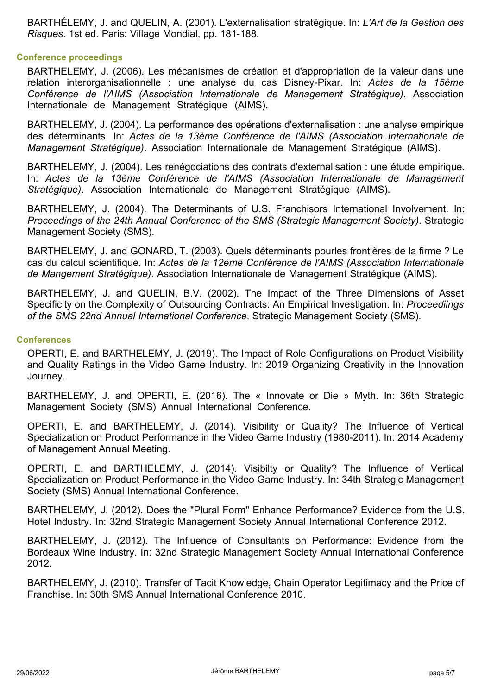BARTHÉLEMY, J. and QUELIN, A. (2001). L'externalisation stratégique. In: *L'Art de la Gestion des Risques*. 1st ed. Paris: Village Mondial, pp. 181-188.

#### **Conference proceedings**

BARTHELEMY, J. (2006). Les mécanismes de création et d'appropriation de la valeur dans une relation interorganisationnelle : une analyse du cas Disney-Pixar. In: *Actes de la 15ème Conférence de l'AIMS (Association Internationale de Management Stratégique)*. Association Internationale de Management Stratégique (AIMS).

BARTHELEMY, J. (2004). La performance des opérations d'externalisation : une analyse empirique des déterminants. In: *Actes de la 13ème Conférence de l'AIMS (Association Internationale de Management Stratégique)*. Association Internationale de Management Stratégique (AIMS).

BARTHELEMY, J. (2004). Les renégociations des contrats d'externalisation : une étude empirique. In: *Actes de la 13ème Conférence de l'AIMS (Association Internationale de Management Stratégique)*. Association Internationale de Management Stratégique (AIMS).

BARTHELEMY, J. (2004). The Determinants of U.S. Franchisors International Involvement. In: *Proceedings of the 24th Annual Conference of the SMS (Strategic Management Society)*. Strategic Management Society (SMS).

BARTHELEMY, J. and GONARD, T. (2003). Quels déterminants pourles frontières de la firme ? Le cas du calcul scientifique. In: *Actes de la 12ème Conférence de l'AIMS (Association Internationale de Mangement Stratégique)*. Association Internationale de Management Stratégique (AIMS).

BARTHELEMY, J. and QUELIN, B.V. (2002). The Impact of the Three Dimensions of Asset Specificity on the Complexity of Outsourcing Contracts: An Empirical Investigation. In: *Proceediings of the SMS 22nd Annual International Conference*. Strategic Management Society (SMS).

#### **Conferences**

OPERTI, E. and BARTHELEMY, J. (2019). The Impact of Role Configurations on Product Visibility and Quality Ratings in the Video Game Industry. In: 2019 Organizing Creativity in the Innovation Journey.

BARTHELEMY, J. and OPERTI, E. (2016). The « Innovate or Die » Myth. In: 36th Strategic Management Society (SMS) Annual International Conference.

OPERTI, E. and BARTHELEMY, J. (2014). Visibility or Quality? The Influence of Vertical Specialization on Product Performance in the Video Game Industry (1980-2011). In: 2014 Academy of Management Annual Meeting.

OPERTI, E. and BARTHELEMY, J. (2014). Visibilty or Quality? The Influence of Vertical Specialization on Product Performance in the Video Game Industry. In: 34th Strategic Management Society (SMS) Annual International Conference.

BARTHELEMY, J. (2012). Does the "Plural Form" Enhance Performance? Evidence from the U.S. Hotel Industry. In: 32nd Strategic Management Society Annual International Conference 2012.

BARTHELEMY, J. (2012). The Influence of Consultants on Performance: Evidence from the Bordeaux Wine Industry. In: 32nd Strategic Management Society Annual International Conference 2012.

BARTHELEMY, J. (2010). Transfer of Tacit Knowledge, Chain Operator Legitimacy and the Price of Franchise. In: 30th SMS Annual International Conference 2010.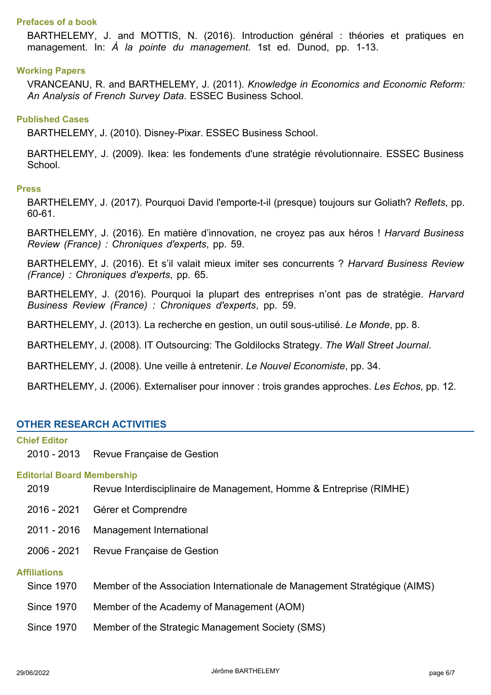#### **Prefaces of a book**

BARTHELEMY, J. and MOTTIS, N. (2016). Introduction général : théories et pratiques en management. In: *À la pointe du management*. 1st ed. Dunod, pp. 1-13.

#### **Working Papers**

VRANCEANU, R. and BARTHELEMY, J. (2011). *Knowledge in Economics and Economic Reform: An Analysis of French Survey Data*. ESSEC Business School.

#### **Published Cases**

BARTHELEMY, J. (2010). Disney-Pixar. ESSEC Business School.

BARTHELEMY, J. (2009). Ikea: les fondements d'une stratégie révolutionnaire. ESSEC Business School.

#### **Press**

BARTHELEMY, J. (2017). Pourquoi David l'emporte-t-il (presque) toujours sur Goliath? *Reflets*, pp. 60-61.

BARTHELEMY, J. (2016). En matière d'innovation, ne croyez pas aux héros ! *Harvard Business Review (France) : Chroniques d'experts*, pp. 59.

BARTHELEMY, J. (2016). Et s'il valait mieux imiter ses concurrents ? *Harvard Business Review (France) : Chroniques d'experts*, pp. 65.

BARTHELEMY, J. (2016). Pourquoi la plupart des entreprises n'ont pas de stratégie. *Harvard Business Review (France) : Chroniques d'experts*, pp. 59.

BARTHELEMY, J. (2013). La recherche en gestion, un outil sous-utilisé. *Le Monde*, pp. 8.

BARTHELEMY, J. (2008). IT Outsourcing: The Goldilocks Strategy. *The Wall Street Journal*.

BARTHELEMY, J. (2008). Une veille à entretenir. *Le Nouvel Economiste*, pp. 34.

BARTHELEMY, J. (2006). Externaliser pour innover : trois grandes approches. *Les Echos*, pp. 12.

#### **OTHER RESEARCH ACTIVITIES**

# **Chief Editor** 2010 - 2013 Revue Française de Gestion **Editorial Board Membership** 2019 Revue Interdisciplinaire de Management, Homme & Entreprise (RIMHE) 2016 - 2021 Gérer et Comprendre 2011 - 2016 Management International 2006 - 2021 Revue Française de Gestion **Affiliations** Since 1970 Member of the Association Internationale de Management Stratégique (AIMS) Since 1970 Member of the Academy of Management (AOM) Since 1970 Member of the Strategic Management Society (SMS)